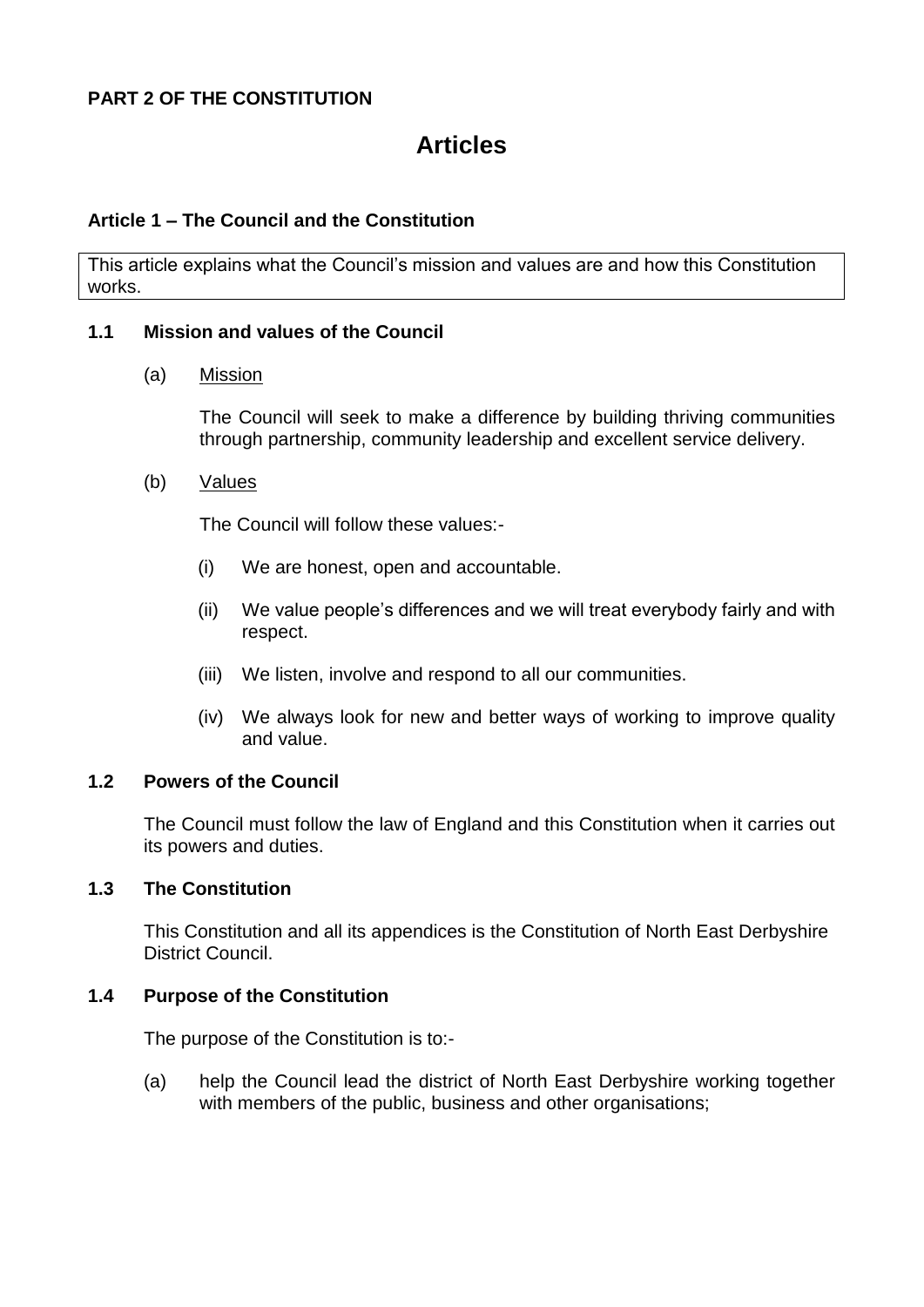# **PART 2 OF THE CONSTITUTION**

# **Articles**

## **Article 1 – The Council and the Constitution**

This article explains what the Council's mission and values are and how this Constitution works.

#### **1.1 Mission and values of the Council**

#### (a) Mission

The Council will seek to make a difference by building thriving communities through partnership, community leadership and excellent service delivery.

#### (b) Values

The Council will follow these values:-

- (i) We are honest, open and accountable.
- (ii) We value people's differences and we will treat everybody fairly and with respect.
- (iii) We listen, involve and respond to all our communities.
- (iv) We always look for new and better ways of working to improve quality and value.

#### **1.2 Powers of the Council**

The Council must follow the law of England and this Constitution when it carries out its powers and duties.

#### **1.3 The Constitution**

This Constitution and all its appendices is the Constitution of North East Derbyshire District Council.

## **1.4 Purpose of the Constitution**

The purpose of the Constitution is to:-

(a) help the Council lead the district of North East Derbyshire working together with members of the public, business and other organisations;